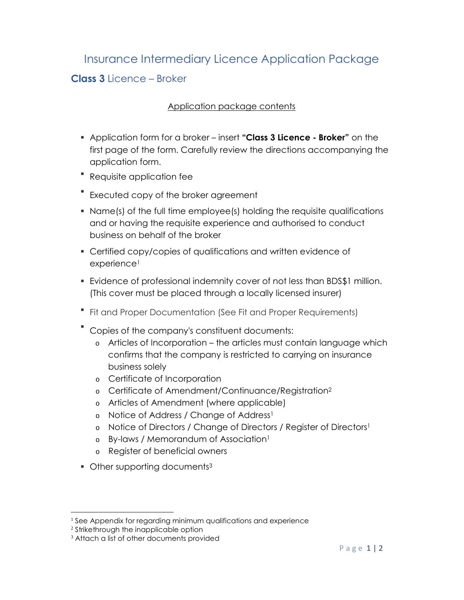## Insurance Intermediary Licence Application Package

## **Class 3** Licence – Broker

## Application package contents

- Application form for a broker insert **"Class 3 Licence Broker"** on the first page of the form. Carefully review the directions accompanying the application form.
- Requisite application fee
- **Executed copy of the broker agreement**
- Name(s) of the full time employee(s) holding the requisite qualifications and or having the requisite experience and authorised to conduct business on behalf of the broker
- Certified copy/copies of qualifications and written evidence of experience<sup>1</sup>
- Evidence of professional indemnity cover of not less than BDS\$1 million. (This cover must be placed through a locally licensed insurer)
- Fit and Proper Documentation (See Fit and Proper Requirements)
- Copies of the company's constituent documents:
	- o Articles of Incorporation the articles must contain language which confirms that the company is restricted to carrying on insurance business solely
	- o Certificate of Incorporation
	- o Certificate of Amendment/Continuance/Registration<sup>2</sup>
	- o Articles of Amendment (where applicable)
	- o Notice of Address / Change of Address<sup>1</sup>
	- o Notice of Directors / Change of Directors / Register of Directors<sup>1</sup>
	- o By-laws / Memorandum of Association<sup>1</sup>
	- o Register of beneficial owners
- Other supporting documents<sup>3</sup>

<sup>&</sup>lt;sup>1</sup> See Appendix for regarding minimum qualifications and experience

<sup>2</sup> Strikethrough the inapplicable option

<sup>&</sup>lt;sup>3</sup> Attach a list of other documents provided